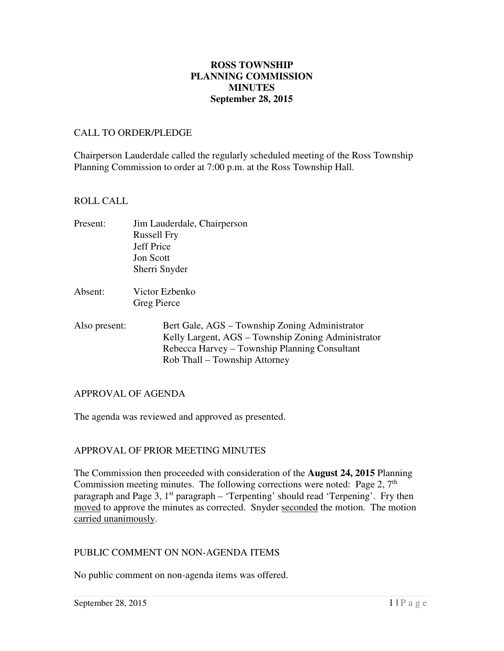## **September 28, 2015 ROSS TOWNSHIP PLANNING COMMISSION MINUTES**

#### CALL TO ORDER/PLEDGE

 Chairperson Lauderdale called the regularly scheduled meeting of the Ross Township Planning Commission to order at 7:00 p.m. at the Ross Township Hall.

## ROLL CALL

- Present: Russell Fry Jeff Price Jon Scott Sherri Snyder Jim Lauderdale, Chairperson
- Absent: Victor Ezbenko Greg Pierce
- Also present: Bert Gale, AGS – Township Zoning Administrator Kelly Largent, AGS – Township Zoning Administrator Rebecca Harvey – Township Planning Consultant Rob Thall – Township Attorney

## APPROVAL OF AGENDA

The agenda was reviewed and approved as presented.

# APPROVAL OF PRIOR MEETING MINUTES

 The Commission then proceeded with consideration of the **August 24, 2015** Planning Commission meeting minutes. The following corrections were noted: Page  $2, 7<sup>th</sup>$ paragraph and Page 3, 1<sup>st</sup> paragraph – 'Terpenting' should read 'Terpening'. Fry then moved to approve the minutes as corrected. Snyder seconded the motion. The motion carried unanimously.

#### PUBLIC COMMENT ON NON-AGENDA ITEMS

No public comment on non-agenda items was offered.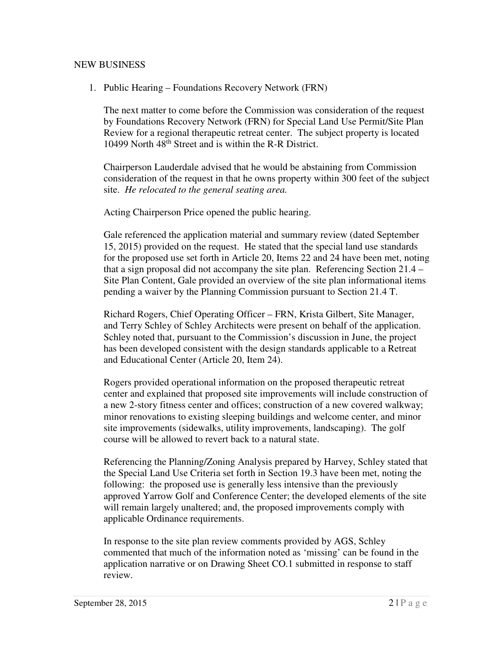# NEW BUSINESS

1. Public Hearing – Foundations Recovery Network (FRN)

 The next matter to come before the Commission was consideration of the request by Foundations Recovery Network (FRN) for Special Land Use Permit/Site Plan Review for a regional therapeutic retreat center. The subject property is located 10499 North 48<sup>th</sup> Street and is within the R-R District.

 Chairperson Lauderdale advised that he would be abstaining from Commission consideration of the request in that he owns property within 300 feet of the subject site. *He relocated to the general seating area.* 

Acting Chairperson Price opened the public hearing.

 Gale referenced the application material and summary review (dated September 15, 2015) provided on the request. He stated that the special land use standards for the proposed use set forth in Article 20, Items 22 and 24 have been met, noting that a sign proposal did not accompany the site plan. Referencing Section 21.4 – Site Plan Content, Gale provided an overview of the site plan informational items pending a waiver by the Planning Commission pursuant to Section 21.4 T.

 Richard Rogers, Chief Operating Officer – FRN, Krista Gilbert, Site Manager, and Terry Schley of Schley Architects were present on behalf of the application. Schley noted that, pursuant to the Commission's discussion in June, the project has been developed consistent with the design standards applicable to a Retreat and Educational Center (Article 20, Item 24).

 Rogers provided operational information on the proposed therapeutic retreat center and explained that proposed site improvements will include construction of a new 2-story fitness center and offices; construction of a new covered walkway; minor renovations to existing sleeping buildings and welcome center, and minor site improvements (sidewalks, utility improvements, landscaping). The golf course will be allowed to revert back to a natural state.

 Referencing the Planning/Zoning Analysis prepared by Harvey, Schley stated that the Special Land Use Criteria set forth in Section 19.3 have been met, noting the following: the proposed use is generally less intensive than the previously approved Yarrow Golf and Conference Center; the developed elements of the site will remain largely unaltered; and, the proposed improvements comply with applicable Ordinance requirements.

 In response to the site plan review comments provided by AGS, Schley commented that much of the information noted as 'missing' can be found in the application narrative or on Drawing Sheet CO.1 submitted in response to staff review.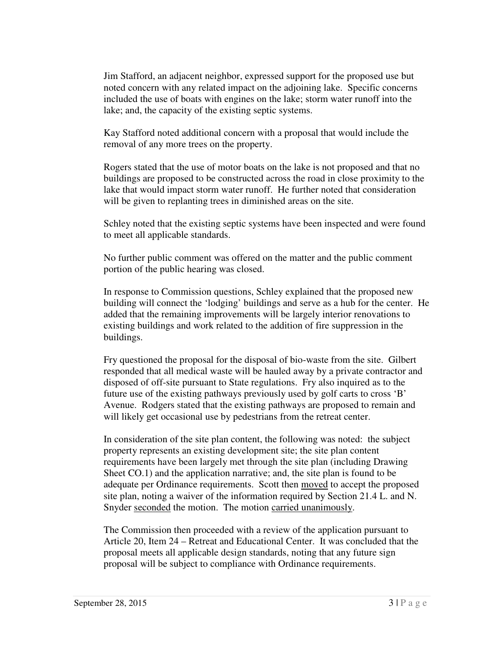Jim Stafford, an adjacent neighbor, expressed support for the proposed use but noted concern with any related impact on the adjoining lake. Specific concerns included the use of boats with engines on the lake; storm water runoff into the lake; and, the capacity of the existing septic systems.

 Kay Stafford noted additional concern with a proposal that would include the removal of any more trees on the property.

 Rogers stated that the use of motor boats on the lake is not proposed and that no buildings are proposed to be constructed across the road in close proximity to the lake that would impact storm water runoff. He further noted that consideration will be given to replanting trees in diminished areas on the site.

 Schley noted that the existing septic systems have been inspected and were found to meet all applicable standards.

 No further public comment was offered on the matter and the public comment portion of the public hearing was closed.

 In response to Commission questions, Schley explained that the proposed new building will connect the 'lodging' buildings and serve as a hub for the center. He added that the remaining improvements will be largely interior renovations to existing buildings and work related to the addition of fire suppression in the buildings.

 Fry questioned the proposal for the disposal of bio-waste from the site. Gilbert responded that all medical waste will be hauled away by a private contractor and disposed of off-site pursuant to State regulations. Fry also inquired as to the future use of the existing pathways previously used by golf carts to cross 'B' Avenue. Rodgers stated that the existing pathways are proposed to remain and will likely get occasional use by pedestrians from the retreat center.

 In consideration of the site plan content, the following was noted: the subject property represents an existing development site; the site plan content requirements have been largely met through the site plan (including Drawing Sheet CO.1) and the application narrative; and, the site plan is found to be adequate per Ordinance requirements. Scott then moved to accept the proposed site plan, noting a waiver of the information required by Section 21.4 L. and N. Snyder seconded the motion. The motion carried unanimously.

 The Commission then proceeded with a review of the application pursuant to Article 20, Item 24 – Retreat and Educational Center. It was concluded that the proposal meets all applicable design standards, noting that any future sign proposal will be subject to compliance with Ordinance requirements.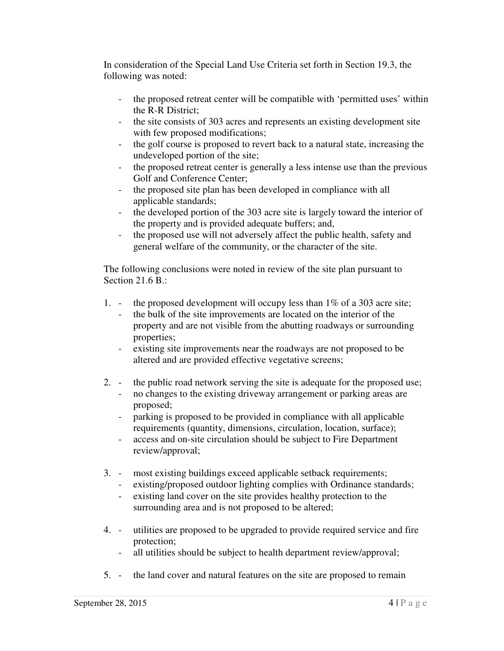In consideration of the Special Land Use Criteria set forth in Section 19.3, the following was noted:

- - the proposed retreat center will be compatible with 'permitted uses' within the R-R District;
- - the site consists of 303 acres and represents an existing development site with few proposed modifications;
- - the golf course is proposed to revert back to a natural state, increasing the undeveloped portion of the site;
- the proposed retreat center is generally a less intense use than the previous Golf and Conference Center;
- - the proposed site plan has been developed in compliance with all applicable standards;
- - the developed portion of the 303 acre site is largely toward the interior of the property and is provided adequate buffers; and,
- the proposed use will not adversely affect the public health, safety and general welfare of the community, or the character of the site.

 The following conclusions were noted in review of the site plan pursuant to Section 21.6 B.:

- $1.$ the proposed development will occupy less than  $1\%$  of a 303 acre site;
	- - the bulk of the site improvements are located on the interior of the property and are not visible from the abutting roadways or surrounding properties;
	- existing site improvements near the roadways are not proposed to be altered and are provided effective vegetative screens;
- $2.$ the public road network serving the site is adequate for the proposed use;
	- - no changes to the existing driveway arrangement or parking areas are proposed;
	- - parking is proposed to be provided in compliance with all applicable requirements (quantity, dimensions, circulation, location, surface);
	- access and on-site circulation should be subject to Fire Department review/approval;
- $3.$ most existing buildings exceed applicable setback requirements;
	- - existing/proposed outdoor lighting complies with Ordinance standards;
		- - existing land cover on the site provides healthy protection to the surrounding area and is not proposed to be altered;
- 4. utilities are proposed to be upgraded to provide required service and fire protection;
	- all utilities should be subject to health department review/approval;
- 5. the land cover and natural features on the site are proposed to remain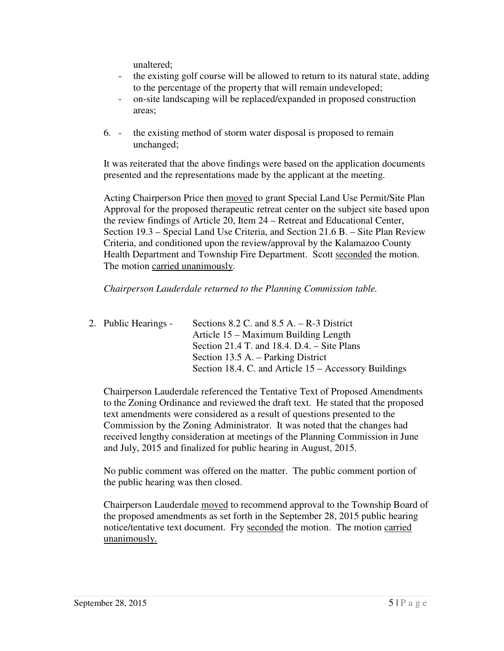unaltered;

- the existing golf course will be allowed to return to its natural state, adding to the percentage of the property that will remain undeveloped;
- - on-site landscaping will be replaced/expanded in proposed construction areas;
- 6. the existing method of storm water disposal is proposed to remain unchanged;

 It was reiterated that the above findings were based on the application documents presented and the representations made by the applicant at the meeting.

Acting Chairperson Price then moved to grant Special Land Use Permit/Site Plan Approval for the proposed therapeutic retreat center on the subject site based upon the review findings of Article 20, Item 24 – Retreat and Educational Center, Section 19.3 – Special Land Use Criteria, and Section 21.6 B. – Site Plan Review Criteria, and conditioned upon the review/approval by the Kalamazoo County Health Department and Township Fire Department. Scott seconded the motion. The motion carried unanimously.

#### *Chairperson Lauderdale returned to the Planning Commission table.*

2. Public Hearings - Article 15 – Maximum Building Length Section 21.4 T. and 18.4. D.4. – Site Plans Section 13.5 A. – Parking District Sections  $8.2$  C. and  $8.5$  A. – R-3 District Section 18.4. C. and Article 15 – Accessory Buildings

 Chairperson Lauderdale referenced the Tentative Text of Proposed Amendments to the Zoning Ordinance and reviewed the draft text. He stated that the proposed text amendments were considered as a result of questions presented to the Commission by the Zoning Administrator. It was noted that the changes had received lengthy consideration at meetings of the Planning Commission in June and July, 2015 and finalized for public hearing in August, 2015.

 No public comment was offered on the matter. The public comment portion of the public hearing was then closed.

Chairperson Lauderdale moved to recommend approval to the Township Board of the proposed amendments as set forth in the September 28, 2015 public hearing notice/tentative text document. Fry seconded the motion. The motion carried unanimously.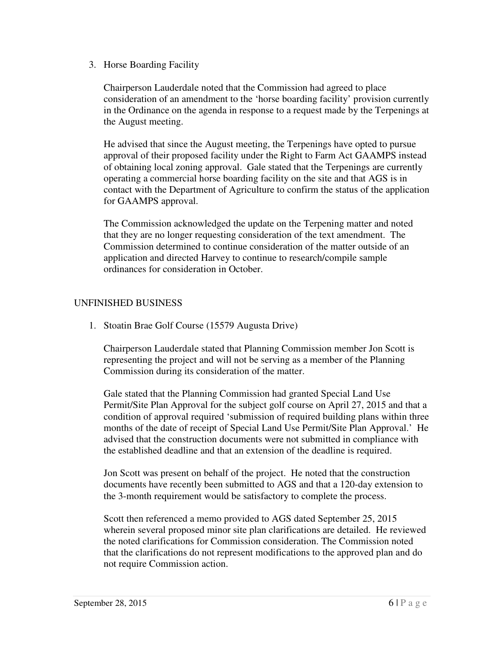3. Horse Boarding Facility

 Chairperson Lauderdale noted that the Commission had agreed to place consideration of an amendment to the 'horse boarding facility' provision currently in the Ordinance on the agenda in response to a request made by the Terpenings at the August meeting.

 He advised that since the August meeting, the Terpenings have opted to pursue approval of their proposed facility under the Right to Farm Act GAAMPS instead of obtaining local zoning approval. Gale stated that the Terpenings are currently operating a commercial horse boarding facility on the site and that AGS is in contact with the Department of Agriculture to confirm the status of the application for GAAMPS approval.

 The Commission acknowledged the update on the Terpening matter and noted that they are no longer requesting consideration of the text amendment. The Commission determined to continue consideration of the matter outside of an application and directed Harvey to continue to research/compile sample ordinances for consideration in October.

## UNFINISHED BUSINESS

1. Stoatin Brae Golf Course (15579 Augusta Drive)

 Chairperson Lauderdale stated that Planning Commission member Jon Scott is representing the project and will not be serving as a member of the Planning Commission during its consideration of the matter.

 Gale stated that the Planning Commission had granted Special Land Use Permit/Site Plan Approval for the subject golf course on April 27, 2015 and that a condition of approval required 'submission of required building plans within three months of the date of receipt of Special Land Use Permit/Site Plan Approval.' He advised that the construction documents were not submitted in compliance with the established deadline and that an extension of the deadline is required.

 Jon Scott was present on behalf of the project. He noted that the construction documents have recently been submitted to AGS and that a 120-day extension to the 3-month requirement would be satisfactory to complete the process.

 Scott then referenced a memo provided to AGS dated September 25, 2015 wherein several proposed minor site plan clarifications are detailed. He reviewed the noted clarifications for Commission consideration. The Commission noted that the clarifications do not represent modifications to the approved plan and do not require Commission action.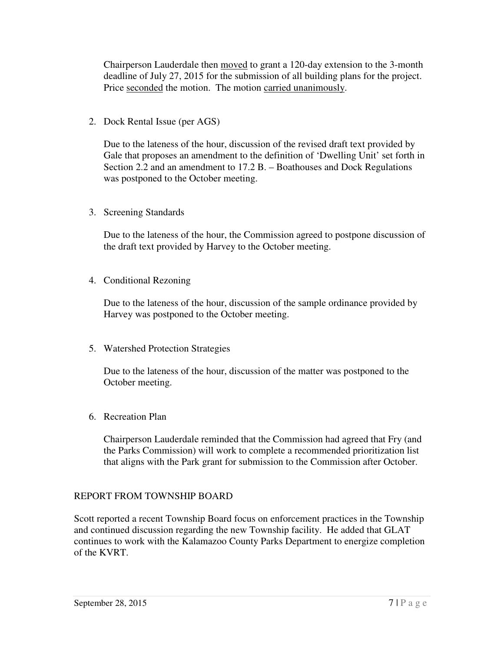Chairperson Lauderdale then moved to grant a 120-day extension to the 3-month deadline of July 27, 2015 for the submission of all building plans for the project. Price seconded the motion. The motion carried unanimously.

2. Dock Rental Issue (per AGS)

 Due to the lateness of the hour, discussion of the revised draft text provided by Gale that proposes an amendment to the definition of 'Dwelling Unit' set forth in Section 2.2 and an amendment to 17.2 B. – Boathouses and Dock Regulations was postponed to the October meeting.

3. Screening Standards

 Due to the lateness of the hour, the Commission agreed to postpone discussion of the draft text provided by Harvey to the October meeting.

4. Conditional Rezoning

 Due to the lateness of the hour, discussion of the sample ordinance provided by Harvey was postponed to the October meeting.

5. Watershed Protection Strategies

 Due to the lateness of the hour, discussion of the matter was postponed to the October meeting.

6. Recreation Plan

 Chairperson Lauderdale reminded that the Commission had agreed that Fry (and the Parks Commission) will work to complete a recommended prioritization list that aligns with the Park grant for submission to the Commission after October.

# REPORT FROM TOWNSHIP BOARD

 Scott reported a recent Township Board focus on enforcement practices in the Township and continued discussion regarding the new Township facility. He added that GLAT continues to work with the Kalamazoo County Parks Department to energize completion of the KVRT.